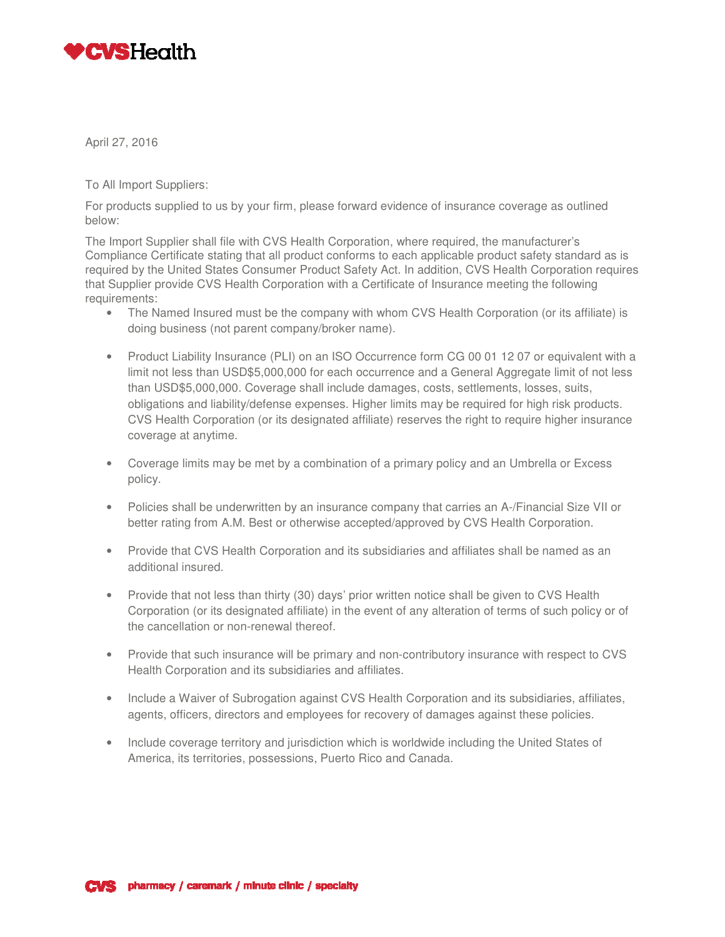

April 27, 2016

To All Import Suppliers:

For products supplied to us by your firm, please forward evidence of insurance coverage as outlined below:

The Import Supplier shall file with CVS Health Corporation, where required, the manufacturer's Compliance Certificate stating that all product conforms to each applicable product safety standard as is required by the United States Consumer Product Safety Act. In addition, CVS Health Corporation requires that Supplier provide CVS Health Corporation with a Certificate of Insurance meeting the following requirements:

- The Named Insured must be the company with whom CVS Health Corporation (or its affiliate) is doing business (not parent company/broker name).
- Product Liability Insurance (PLI) on an ISO Occurrence form CG 00 01 12 07 or equivalent with a limit not less than USD\$5,000,000 for each occurrence and a General Aggregate limit of not less than USD\$5,000,000. Coverage shall include damages, costs, settlements, losses, suits, obligations and liability/defense expenses. Higher limits may be required for high risk products. CVS Health Corporation (or its designated affiliate) reserves the right to require higher insurance coverage at anytime.
- Coverage limits may be met by a combination of a primary policy and an Umbrella or Excess policy.
- Policies shall be underwritten by an insurance company that carries an A-/Financial Size VII or better rating from A.M. Best or otherwise accepted/approved by CVS Health Corporation.
- Provide that CVS Health Corporation and its subsidiaries and affiliates shall be named as an additional insured.
- Provide that not less than thirty (30) days' prior written notice shall be given to CVS Health Corporation (or its designated affiliate) in the event of any alteration of terms of such policy or of the cancellation or non-renewal thereof.
- Provide that such insurance will be primary and non-contributory insurance with respect to CVS Health Corporation and its subsidiaries and affiliates.
- Include a Waiver of Subrogation against CVS Health Corporation and its subsidiaries, affiliates, agents, officers, directors and employees for recovery of damages against these policies.
- Include coverage territory and jurisdiction which is worldwide including the United States of America, its territories, possessions, Puerto Rico and Canada.